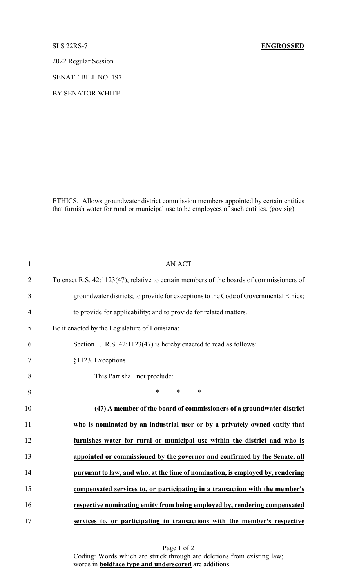2022 Regular Session

SENATE BILL NO. 197

BY SENATOR WHITE

ETHICS. Allows groundwater district commission members appointed by certain entities that furnish water for rural or municipal use to be employees of such entities. (gov sig)

| $\mathbf{1}$   | <b>AN ACT</b>                                                                            |
|----------------|------------------------------------------------------------------------------------------|
| $\overline{2}$ | To enact R.S. 42:1123(47), relative to certain members of the boards of commissioners of |
| 3              | groundwater districts; to provide for exceptions to the Code of Governmental Ethics;     |
| $\overline{4}$ | to provide for applicability; and to provide for related matters.                        |
| 5              | Be it enacted by the Legislature of Louisiana:                                           |
| 6              | Section 1. R.S. 42:1123(47) is hereby enacted to read as follows:                        |
| 7              | §1123. Exceptions                                                                        |
| 8              | This Part shall not preclude:                                                            |
| 9              | $*$ $*$<br>*<br>$\ast$                                                                   |
| 10             | (47) A member of the board of commissioners of a groundwater district                    |
| 11             | who is nominated by an industrial user or by a privately owned entity that               |
| 12             | furnishes water for rural or municipal use within the district and who is                |
| 13             | appointed or commissioned by the governor and confirmed by the Senate, all               |
| 14             | pursuant to law, and who, at the time of nomination, is employed by, rendering           |
| 15             | compensated services to, or participating in a transaction with the member's             |
| 16             | respective nominating entity from being employed by, rendering compensated               |
| 17             | services to, or participating in transactions with the member's respective               |

Page 1 of 2 Coding: Words which are struck through are deletions from existing law; words in **boldface type and underscored** are additions.